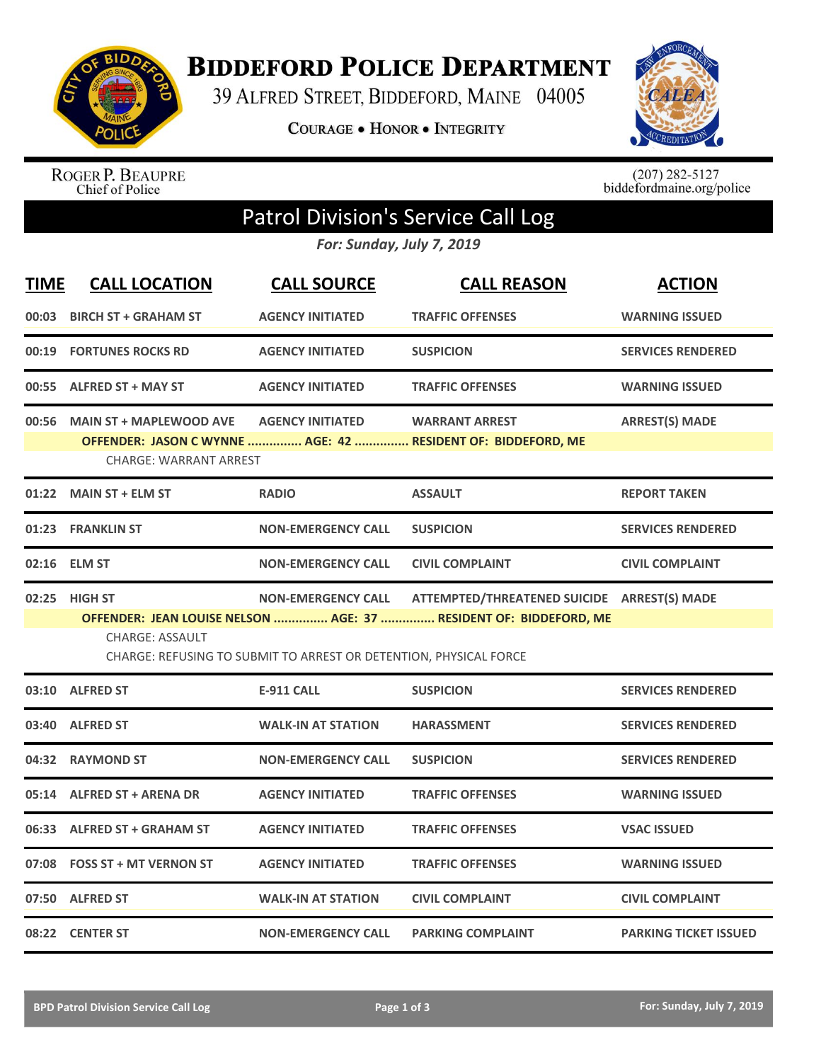

**BIDDEFORD POLICE DEPARTMENT** 

39 ALFRED STREET, BIDDEFORD, MAINE 04005

**COURAGE . HONOR . INTEGRITY** 



ROGER P. BEAUPRE<br>Chief of Police

 $(207)$  282-5127<br>biddefordmaine.org/police

## Patrol Division's Service Call Log

*For: Sunday, July 7, 2019*

| <b>TIME</b> | <b>CALL LOCATION</b>                                                                        | <b>CALL SOURCE</b>        | <b>CALL REASON</b>                                                | <b>ACTION</b>                |  |  |  |
|-------------|---------------------------------------------------------------------------------------------|---------------------------|-------------------------------------------------------------------|------------------------------|--|--|--|
| 00:03       | <b>BIRCH ST + GRAHAM ST</b>                                                                 | <b>AGENCY INITIATED</b>   | <b>TRAFFIC OFFENSES</b>                                           | <b>WARNING ISSUED</b>        |  |  |  |
| 00:19       | <b>FORTUNES ROCKS RD</b>                                                                    | <b>AGENCY INITIATED</b>   | <b>SUSPICION</b>                                                  | <b>SERVICES RENDERED</b>     |  |  |  |
| 00:55       | <b>ALFRED ST + MAY ST</b>                                                                   | <b>AGENCY INITIATED</b>   | <b>TRAFFIC OFFENSES</b>                                           | <b>WARNING ISSUED</b>        |  |  |  |
| 00:56       | <b>MAIN ST + MAPLEWOOD AVE</b>                                                              | <b>AGENCY INITIATED</b>   | <b>WARRANT ARREST</b>                                             | <b>ARREST(S) MADE</b>        |  |  |  |
|             | <b>CHARGE: WARRANT ARREST</b>                                                               |                           | OFFENDER: JASON C WYNNE  AGE: 42  RESIDENT OF: BIDDEFORD, ME      |                              |  |  |  |
|             | 01:22 MAIN ST + ELM ST                                                                      | <b>RADIO</b>              | <b>ASSAULT</b>                                                    | <b>REPORT TAKEN</b>          |  |  |  |
| 01:23       | <b>FRANKLIN ST</b>                                                                          | <b>NON-EMERGENCY CALL</b> | <b>SUSPICION</b>                                                  | <b>SERVICES RENDERED</b>     |  |  |  |
| 02:16       | <b>ELM ST</b>                                                                               | <b>NON-EMERGENCY CALL</b> | <b>CIVIL COMPLAINT</b>                                            | <b>CIVIL COMPLAINT</b>       |  |  |  |
| 02:25       | <b>HIGH ST</b>                                                                              | <b>NON-EMERGENCY CALL</b> | ATTEMPTED/THREATENED SUICIDE ARREST(S) MADE                       |                              |  |  |  |
|             |                                                                                             |                           | OFFENDER: JEAN LOUISE NELSON  AGE: 37  RESIDENT OF: BIDDEFORD, ME |                              |  |  |  |
|             | <b>CHARGE: ASSAULT</b><br>CHARGE: REFUSING TO SUBMIT TO ARREST OR DETENTION, PHYSICAL FORCE |                           |                                                                   |                              |  |  |  |
| 03:10       | <b>ALFRED ST</b>                                                                            | <b>E-911 CALL</b>         | <b>SUSPICION</b>                                                  | <b>SERVICES RENDERED</b>     |  |  |  |
| 03:40       | <b>ALFRED ST</b>                                                                            | <b>WALK-IN AT STATION</b> | <b>HARASSMENT</b>                                                 | <b>SERVICES RENDERED</b>     |  |  |  |
| 04:32       | <b>RAYMOND ST</b>                                                                           | <b>NON-EMERGENCY CALL</b> | <b>SUSPICION</b>                                                  | <b>SERVICES RENDERED</b>     |  |  |  |
| 05:14       | <b>ALFRED ST + ARENA DR</b>                                                                 | <b>AGENCY INITIATED</b>   | <b>TRAFFIC OFFENSES</b>                                           | <b>WARNING ISSUED</b>        |  |  |  |
| 06:33       | <b>ALFRED ST + GRAHAM ST</b>                                                                | <b>AGENCY INITIATED</b>   | <b>TRAFFIC OFFENSES</b>                                           | <b>VSAC ISSUED</b>           |  |  |  |
| 07:08       | <b>FOSS ST + MT VERNON ST</b>                                                               | <b>AGENCY INITIATED</b>   | <b>TRAFFIC OFFENSES</b>                                           | <b>WARNING ISSUED</b>        |  |  |  |
| 07:50       | <b>ALFRED ST</b>                                                                            | <b>WALK-IN AT STATION</b> | <b>CIVIL COMPLAINT</b>                                            | <b>CIVIL COMPLAINT</b>       |  |  |  |
|             | 08:22 CENTER ST                                                                             | <b>NON-EMERGENCY CALL</b> | <b>PARKING COMPLAINT</b>                                          | <b>PARKING TICKET ISSUED</b> |  |  |  |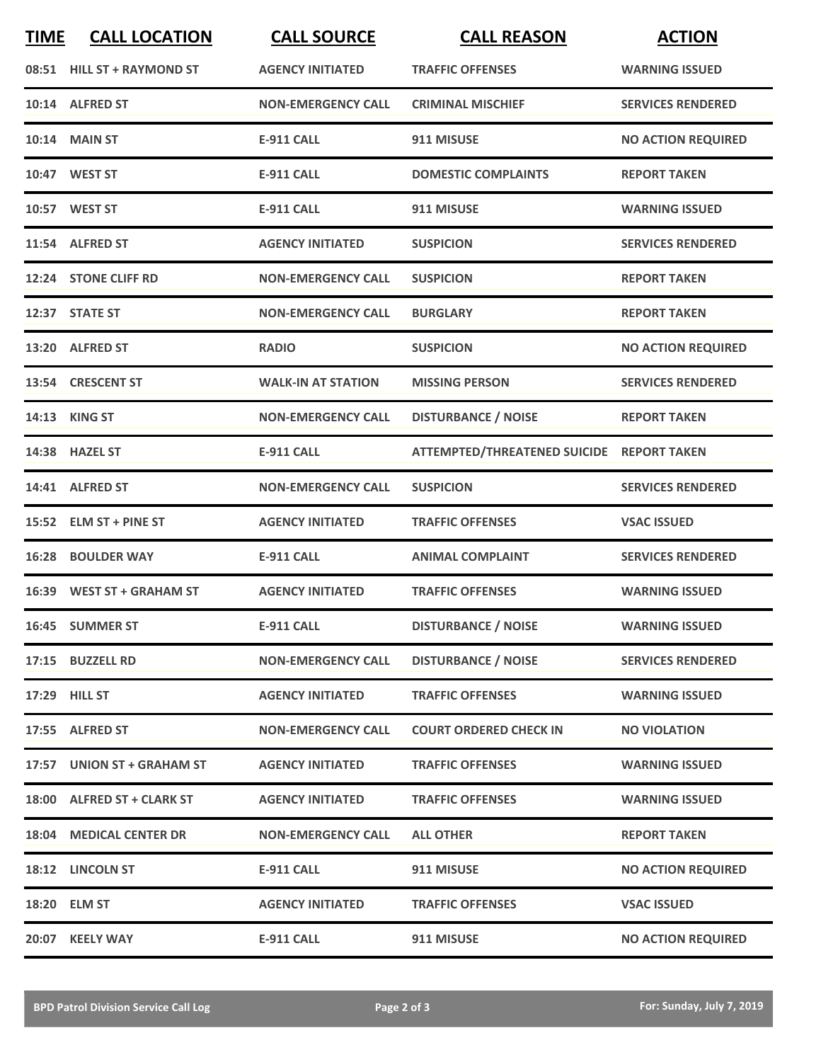| <b>TIME</b> | <b>CALL LOCATION</b>       | <b>CALL SOURCE</b>        | <b>CALL REASON</b>                        | <b>ACTION</b>             |
|-------------|----------------------------|---------------------------|-------------------------------------------|---------------------------|
|             | 08:51 HILL ST + RAYMOND ST | <b>AGENCY INITIATED</b>   | <b>TRAFFIC OFFENSES</b>                   | <b>WARNING ISSUED</b>     |
|             | 10:14 ALFRED ST            | <b>NON-EMERGENCY CALL</b> | <b>CRIMINAL MISCHIEF</b>                  | <b>SERVICES RENDERED</b>  |
|             | 10:14 MAIN ST              | <b>E-911 CALL</b>         | 911 MISUSE                                | <b>NO ACTION REQUIRED</b> |
|             | 10:47 WEST ST              | <b>E-911 CALL</b>         | <b>DOMESTIC COMPLAINTS</b>                | <b>REPORT TAKEN</b>       |
|             | 10:57 WEST ST              | <b>E-911 CALL</b>         | 911 MISUSE                                | <b>WARNING ISSUED</b>     |
|             | 11:54 ALFRED ST            | <b>AGENCY INITIATED</b>   | <b>SUSPICION</b>                          | <b>SERVICES RENDERED</b>  |
|             | 12:24 STONE CLIFF RD       | <b>NON-EMERGENCY CALL</b> | <b>SUSPICION</b>                          | <b>REPORT TAKEN</b>       |
|             | 12:37 STATE ST             | <b>NON-EMERGENCY CALL</b> | <b>BURGLARY</b>                           | <b>REPORT TAKEN</b>       |
|             | 13:20 ALFRED ST            | <b>RADIO</b>              | <b>SUSPICION</b>                          | <b>NO ACTION REQUIRED</b> |
|             | 13:54 CRESCENT ST          | <b>WALK-IN AT STATION</b> | <b>MISSING PERSON</b>                     | <b>SERVICES RENDERED</b>  |
|             | 14:13 KING ST              | <b>NON-EMERGENCY CALL</b> | <b>DISTURBANCE / NOISE</b>                | <b>REPORT TAKEN</b>       |
|             | 14:38 HAZEL ST             | <b>E-911 CALL</b>         | ATTEMPTED/THREATENED SUICIDE REPORT TAKEN |                           |
|             | 14:41 ALFRED ST            | <b>NON-EMERGENCY CALL</b> | <b>SUSPICION</b>                          | <b>SERVICES RENDERED</b>  |
|             | 15:52 ELM ST + PINE ST     | <b>AGENCY INITIATED</b>   | <b>TRAFFIC OFFENSES</b>                   | <b>VSAC ISSUED</b>        |
|             | 16:28 BOULDER WAY          | <b>E-911 CALL</b>         | <b>ANIMAL COMPLAINT</b>                   | <b>SERVICES RENDERED</b>  |
|             | 16:39 WEST ST + GRAHAM ST  | <b>AGENCY INITIATED</b>   | <b>TRAFFIC OFFENSES</b>                   | <b>WARNING ISSUED</b>     |
|             | 16:45 SUMMER ST            | E-911 CALL                | <b>DISTURBANCE / NOISE</b>                | <b>WARNING ISSUED</b>     |
|             | 17:15 BUZZELL RD           | <b>NON-EMERGENCY CALL</b> | <b>DISTURBANCE / NOISE</b>                | <b>SERVICES RENDERED</b>  |
|             | 17:29 HILL ST              | <b>AGENCY INITIATED</b>   | <b>TRAFFIC OFFENSES</b>                   | <b>WARNING ISSUED</b>     |
|             | 17:55 ALFRED ST            | <b>NON-EMERGENCY CALL</b> | <b>COURT ORDERED CHECK IN</b>             | <b>NO VIOLATION</b>       |
|             | 17:57 UNION ST + GRAHAM ST | <b>AGENCY INITIATED</b>   | <b>TRAFFIC OFFENSES</b>                   | <b>WARNING ISSUED</b>     |
|             | 18:00 ALFRED ST + CLARK ST | <b>AGENCY INITIATED</b>   | <b>TRAFFIC OFFENSES</b>                   | <b>WARNING ISSUED</b>     |
|             | 18:04 MEDICAL CENTER DR    | <b>NON-EMERGENCY CALL</b> | <b>ALL OTHER</b>                          | <b>REPORT TAKEN</b>       |
|             | 18:12 LINCOLN ST           | <b>E-911 CALL</b>         | 911 MISUSE                                | <b>NO ACTION REQUIRED</b> |
|             | 18:20 ELM ST               | <b>AGENCY INITIATED</b>   | <b>TRAFFIC OFFENSES</b>                   | <b>VSAC ISSUED</b>        |
|             | 20:07 KEELY WAY            | <b>E-911 CALL</b>         | 911 MISUSE                                | <b>NO ACTION REQUIRED</b> |